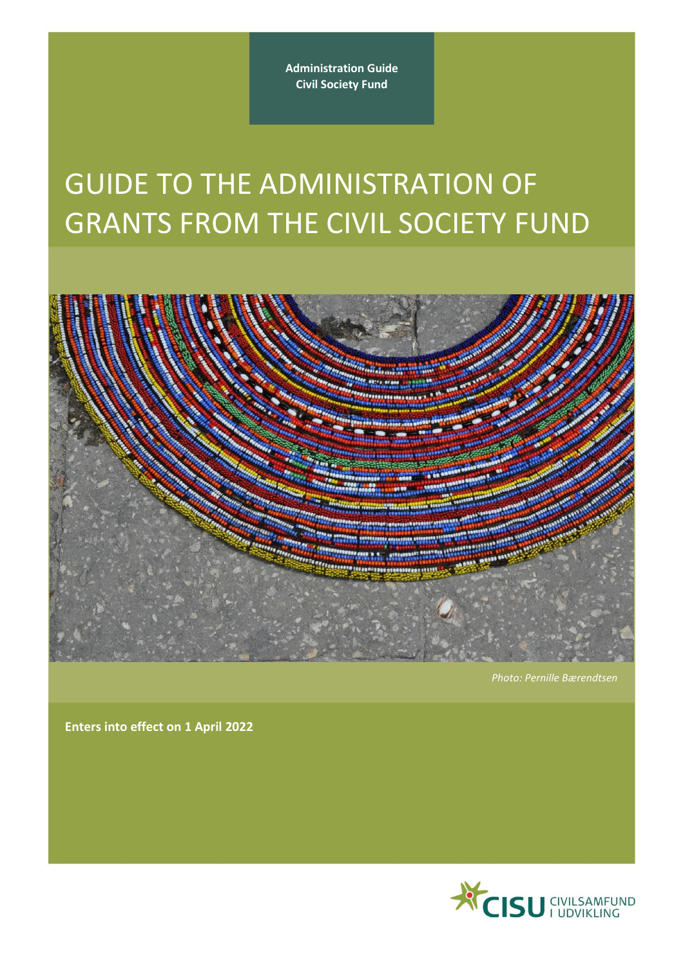**Administration Guide Civil Society Fund**

# GUIDE TO THE ADMINISTRATION OF GRANTS FROM THE CIVIL SOCIETY FUND



*Photo: Pernille Bærendtsen*

**Enters into effect on 1 April 2022**

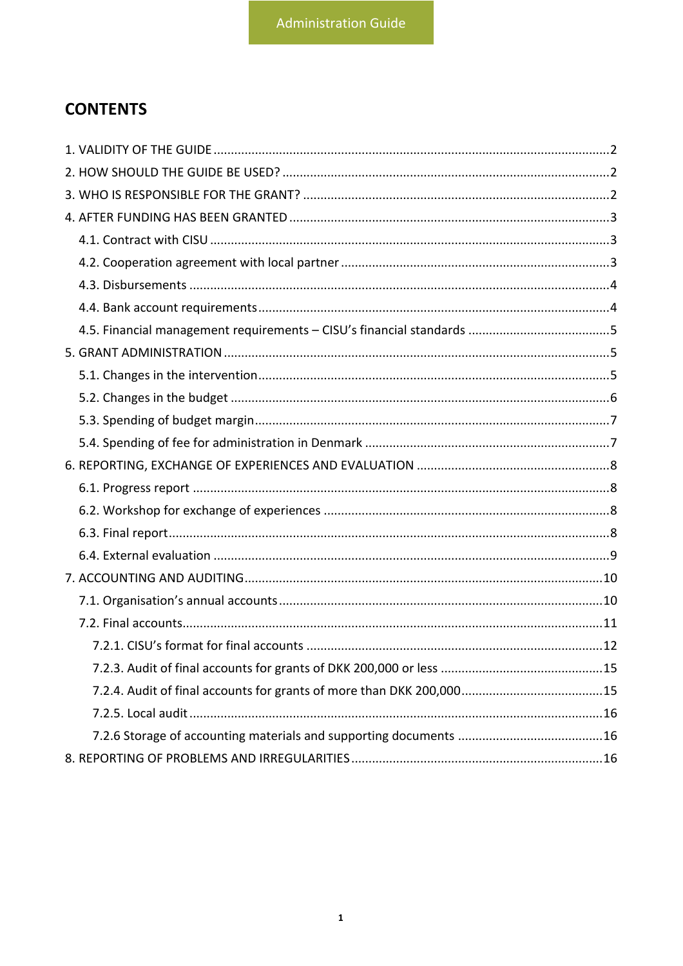# **CONTENTS**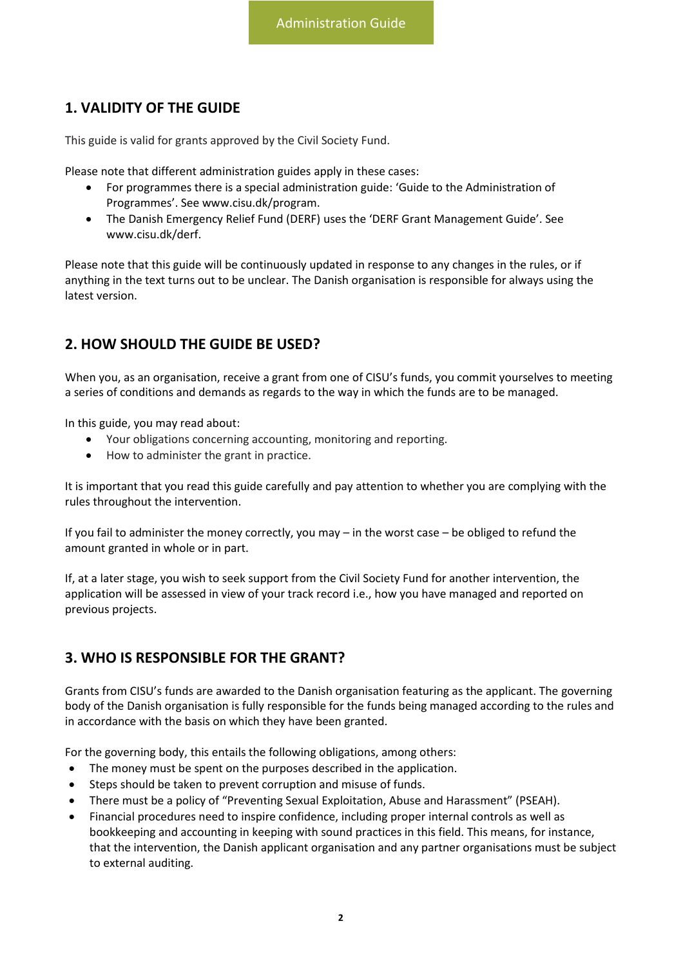# <span id="page-2-0"></span>**1. VALIDITY OF THE GUIDE**

This guide is valid for grants approved by the Civil Society Fund.

Please note that different administration guides apply in these cases:

- For programmes there is a special administration guide: 'Guide to the Administration of Programmes'. See [www.cisu.dk/program.](http://www.cisu.dk/program)
- The Danish Emergency Relief Fund (DERF) uses the 'DERF Grant Management Guide'. See [www.cisu.dk/derf.](http://www.cisu.dk/derf)

Please note that this guide will be continuously updated in response to any changes in the rules, or if anything in the text turns out to be unclear. The Danish organisation is responsible for always using the latest version.

# <span id="page-2-1"></span>**2. HOW SHOULD THE GUIDE BE USED?**

When you, as an organisation, receive a grant from one of CISU's funds, you commit yourselves to meeting a series of conditions and demands as regards to the way in which the funds are to be managed.

In this guide, you may read about:

- Your obligations concerning accounting, monitoring and reporting.
- How to administer the grant in practice.

It is important that you read this guide carefully and pay attention to whether you are complying with the rules throughout the intervention.

If you fail to administer the money correctly, you may – in the worst case – be obliged to refund the amount granted in whole or in part.

If, at a later stage, you wish to seek support from the Civil Society Fund for another intervention, the application will be assessed in view of your track record i.e., how you have managed and reported on previous projects.

## <span id="page-2-2"></span>**3. WHO IS RESPONSIBLE FOR THE GRANT?**

Grants from CISU's funds are awarded to the Danish organisation featuring as the applicant. The governing body of the Danish organisation is fully responsible for the funds being managed according to the rules and in accordance with the basis on which they have been granted.

For the governing body, this entails the following obligations, among others:

- The money must be spent on the purposes described in the application.
- Steps should be taken to prevent corruption and misuse of funds.
- There must be a policy of "Preventing Sexual Exploitation, Abuse and Harassment" (PSEAH).
- Financial procedures need to inspire confidence, including proper internal controls as well as bookkeeping and accounting in keeping with sound practices in this field. This means, for instance, that the intervention, the Danish applicant organisation and any partner organisations must be subject to external auditing.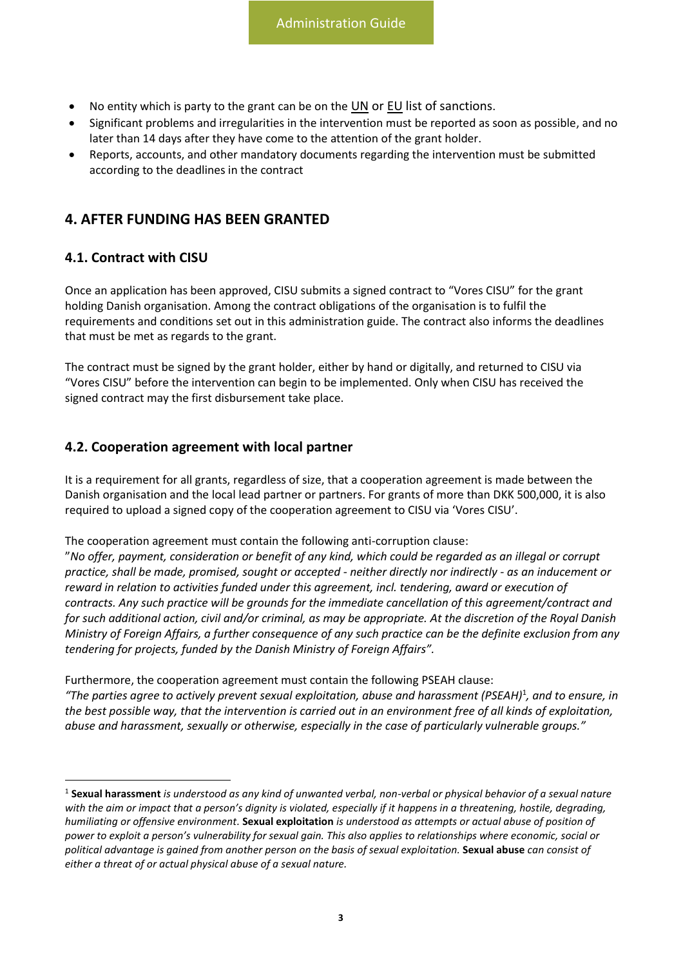- No entity which is party to the grant can be on the  $UN$  or  $EU$  list of sanctions.
- Significant problems and irregularities in the intervention must be reported as soon as possible, and no later than 14 days after they have come to the attention of the grant holder.
- Reports, accounts, and other mandatory documents regarding the intervention must be submitted according to the deadlines in the contract

## <span id="page-3-0"></span>**4. AFTER FUNDING HAS BEEN GRANTED**

#### <span id="page-3-1"></span>**4.1. Contract with CISU**

Once an application has been approved, CISU submits a signed contract to "Vores CISU" for the grant holding Danish organisation. Among the contract obligations of the organisation is to fulfil the requirements and conditions set out in this administration guide. The contract also informs the deadlines that must be met as regards to the grant.

The contract must be signed by the grant holder, either by hand or digitally, and returned to CISU via "Vores CISU" before the intervention can begin to be implemented. Only when CISU has received the signed contract may the first disbursement take place.

#### <span id="page-3-2"></span>**4.2. Cooperation agreement with local partner**

It is a requirement for all grants, regardless of size, that a cooperation agreement is made between the Danish organisation and the local lead partner or partners. For grants of more than DKK 500,000, it is also required to upload a signed copy of the cooperation agreement to CISU via 'Vores CISU'.

The cooperation agreement must contain the following anti-corruption clause:

"*No offer, payment, consideration or benefit of any kind, which could be regarded as an illegal or corrupt practice, shall be made, promised, sought or accepted - neither directly nor indirectly - as an inducement or reward in relation to activities funded under this agreement, incl. tendering, award or execution of contracts. Any such practice will be grounds for the immediate cancellation of this agreement/contract and for such additional action, civil and/or criminal, as may be appropriate. At the discretion of the Royal Danish Ministry of Foreign Affairs, a further consequence of any such practice can be the definite exclusion from any tendering for projects, funded by the Danish Ministry of Foreign Affairs".*

Furthermore, the cooperation agreement must contain the following PSEAH clause:

*"The parties agree to actively prevent sexual exploitation, abuse and harassment (PSEAH)*<sup>1</sup> *, and to ensure, in the best possible way, that the intervention is carried out in an environment free of all kinds of exploitation, abuse and harassment, sexually or otherwise, especially in the case of particularly vulnerable groups."*

<sup>1</sup> **Sexual harassment** *is understood as any kind of unwanted verbal, non-verbal or physical behavior of a sexual nature with the aim or impact that a person's dignity is violated, especially if it happens in a threatening, hostile, degrading, humiliating or offensive environment.* **Sexual exploitation** *is understood as attempts or actual abuse of position of power to exploit a person's vulnerability for sexual gain. This also applies to relationships where economic, social or political advantage is gained from another person on the basis of sexual exploitation.* **Sexual abuse** *can consist of either a threat of or actual physical abuse of a sexual nature.*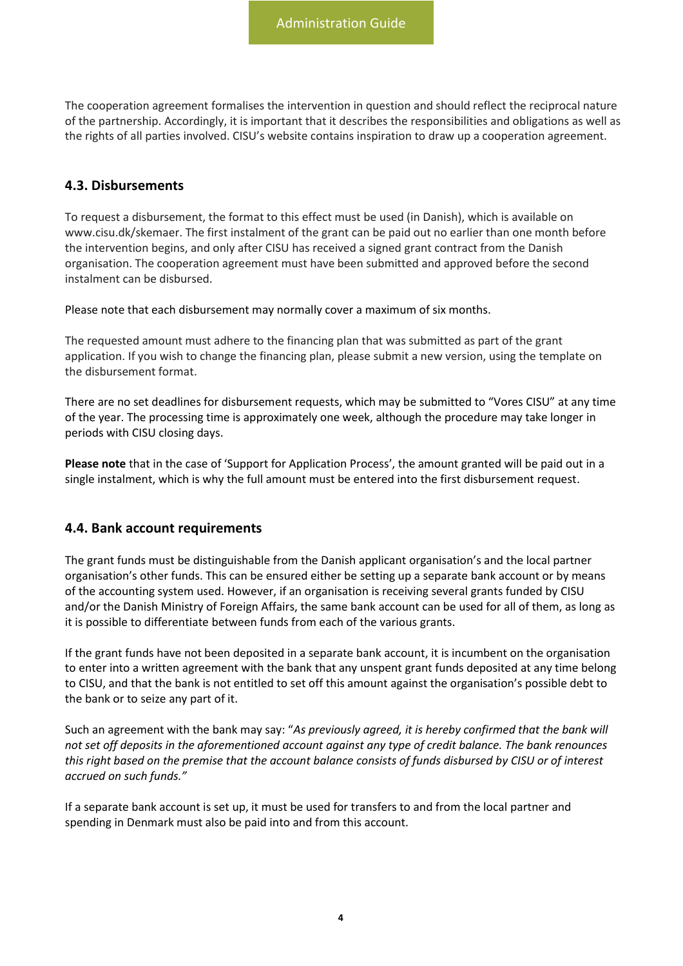The cooperation agreement formalises the intervention in question and should reflect the reciprocal nature of the partnership. Accordingly, it is important that it describes the responsibilities and obligations as well as the rights of all parties involved. CISU's website contains inspiration to draw up a cooperation agreement.

#### <span id="page-4-0"></span>**4.3. Disbursements**

To request a disbursement, the format to this effect must be used (in Danish), which is available on www.cisu.dk/skemaer. The first instalment of the grant can be paid out no earlier than one month before the intervention begins, and only after CISU has received a signed grant contract from the Danish organisation. The cooperation agreement must have been submitted and approved before the second instalment can be disbursed.

Please note that each disbursement may normally cover a maximum of six months.

The requested amount must adhere to the financing plan that was submitted as part of the grant application. If you wish to change the financing plan, please submit a new version, using the template on the disbursement format.

There are no set deadlines for disbursement requests, which may be submitted to "Vores CISU" at any time of the year. The processing time is approximately one week, although the procedure may take longer in periods with CISU closing days.

**Please note** that in the case of 'Support for Application Process', the amount granted will be paid out in a single instalment, which is why the full amount must be entered into the first disbursement request.

#### <span id="page-4-1"></span>**4.4. Bank account requirements**

The grant funds must be distinguishable from the Danish applicant organisation's and the local partner organisation's other funds. This can be ensured either be setting up a separate bank account or by means of the accounting system used. However, if an organisation is receiving several grants funded by CISU and/or the Danish Ministry of Foreign Affairs, the same bank account can be used for all of them, as long as it is possible to differentiate between funds from each of the various grants.

If the grant funds have not been deposited in a separate bank account, it is incumbent on the organisation to enter into a written agreement with the bank that any unspent grant funds deposited at any time belong to CISU, and that the bank is not entitled to set off this amount against the organisation's possible debt to the bank or to seize any part of it.

Such an agreement with the bank may say: "*As previously agreed, it is hereby confirmed that the bank will not set off deposits in the aforementioned account against any type of credit balance. The bank renounces this right based on the premise that the account balance consists of funds disbursed by CISU or of interest accrued on such funds."*

If a separate bank account is set up, it must be used for transfers to and from the local partner and spending in Denmark must also be paid into and from this account.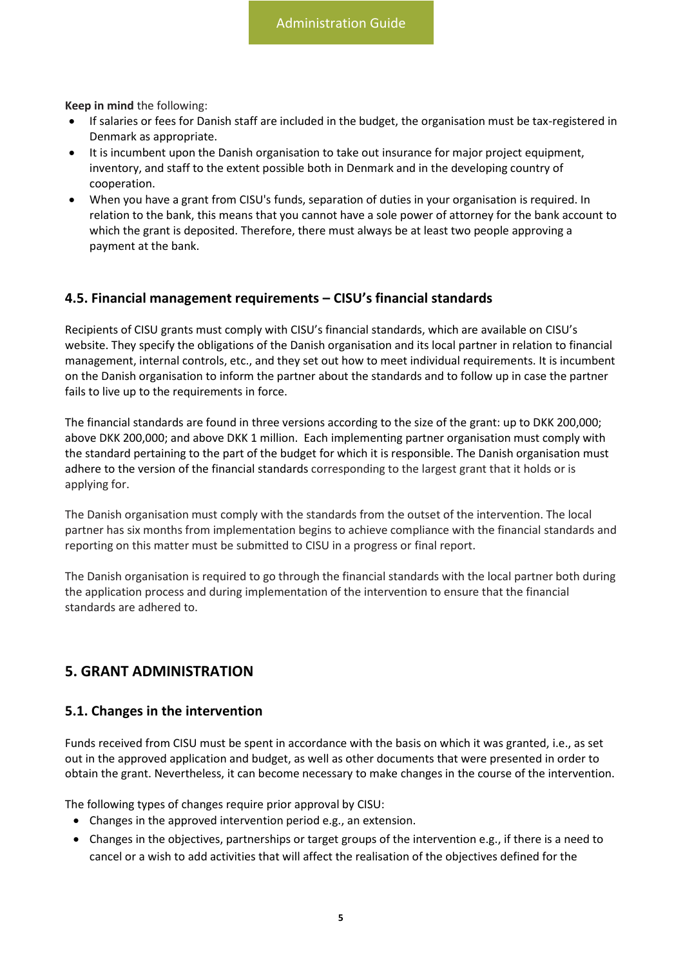**Keep in mind** the following:

- If salaries or fees for Danish staff are included in the budget, the organisation must be tax-registered in Denmark as appropriate.
- It is incumbent upon the Danish organisation to take out insurance for major project equipment, inventory, and staff to the extent possible both in Denmark and in the developing country of cooperation.
- When you have a grant from CISU's funds, separation of duties in your organisation is required. In relation to the bank, this means that you cannot have a sole power of attorney for the bank account to which the grant is deposited. Therefore, there must always be at least two people approving a payment at the bank.

#### <span id="page-5-0"></span>**4.5. Financial management requirements – CISU's financial standards**

Recipients of CISU grants must comply with CISU's financial standards, which are available on CISU's website. They specify the obligations of the Danish organisation and its local partner in relation to financial management, internal controls, etc., and they set out how to meet individual requirements. It is incumbent on the Danish organisation to inform the partner about the standards and to follow up in case the partner fails to live up to the requirements in force.

The financial standards are found in three versions according to the size of the grant: up to DKK 200,000; above DKK 200,000; and above DKK 1 million. Each implementing partner organisation must comply with the standard pertaining to the part of the budget for which it is responsible. The Danish organisation must adhere to the version of the financial standards corresponding to the largest grant that it holds or is applying for.

The Danish organisation must comply with the standards from the outset of the intervention. The local partner has six months from implementation begins to achieve compliance with the financial standards and reporting on this matter must be submitted to CISU in a progress or final report.

The Danish organisation is required to go through the financial standards with the local partner both during the application process and during implementation of the intervention to ensure that the financial standards are adhered to.

## <span id="page-5-1"></span>**5. GRANT ADMINISTRATION**

#### <span id="page-5-2"></span>**5.1. Changes in the intervention**

Funds received from CISU must be spent in accordance with the basis on which it was granted, i.e., as set out in the approved application and budget, as well as other documents that were presented in order to obtain the grant. Nevertheless, it can become necessary to make changes in the course of the intervention.

The following types of changes require prior approval by CISU:

- Changes in the approved intervention period e.g., an extension.
- Changes in the objectives, partnerships or target groups of the intervention e.g., if there is a need to cancel or a wish to add activities that will affect the realisation of the objectives defined for the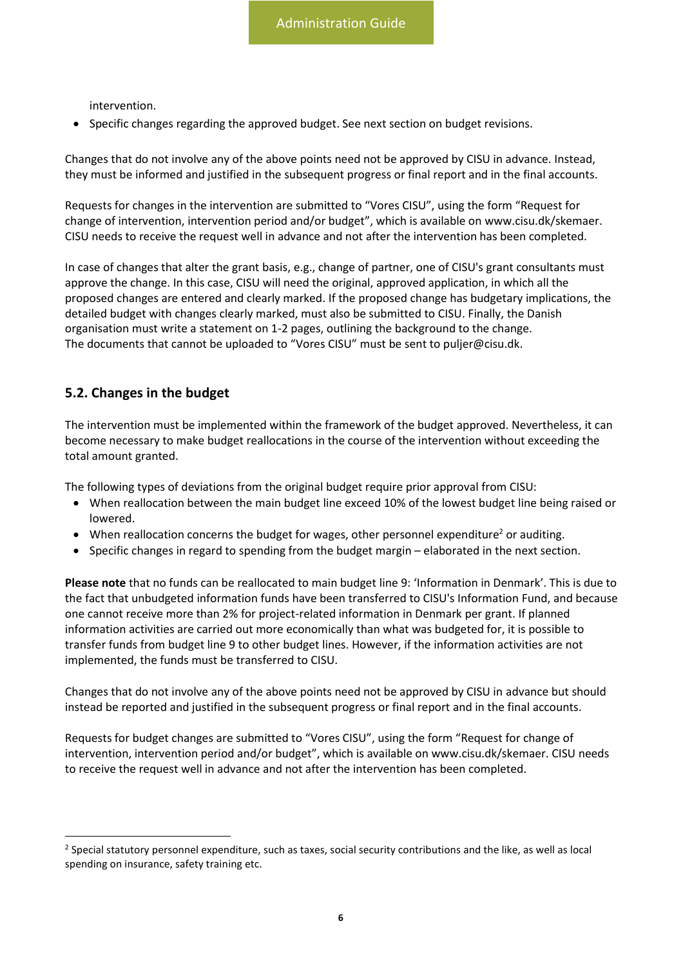intervention.

• Specific changes regarding the approved budget. See next section on budget revisions.

Changes that do not involve any of the above points need not be approved by CISU in advance. Instead, they must be informed and justified in the subsequent progress or final report and in the final accounts.

Requests for changes in the intervention are submitted to "Vores CISU", using the form "Request for change of intervention, intervention period and/or budget", which is available on www.cisu.dk/skemaer. CISU needs to receive the request well in advance and not after the intervention has been completed.

In case of changes that alter the grant basis, e.g., change of partner, one of CISU's grant consultants must approve the change. In this case, CISU will need the original, approved application, in which all the proposed changes are entered and clearly marked. If the proposed change has budgetary implications, the detailed budget with changes clearly marked, must also be submitted to CISU. Finally, the Danish organisation must write a statement on 1-2 pages, outlining the background to the change. The documents that cannot be uploaded to "Vores CISU" must be sent to puljer@cisu.dk.

## <span id="page-6-0"></span>**5.2. Changes in the budget**

The intervention must be implemented within the framework of the budget approved. Nevertheless, it can become necessary to make budget reallocations in the course of the intervention without exceeding the total amount granted.

The following types of deviations from the original budget require prior approval from CISU:

- When reallocation between the main budget line exceed 10% of the lowest budget line being raised or lowered.
- When reallocation concerns the budget for wages, other personnel expenditure<sup>2</sup> or auditing.
- Specific changes in regard to spending from the budget margin elaborated in the next section.

**Please note** that no funds can be reallocated to main budget line 9: 'Information in Denmark'. This is due to the fact that unbudgeted information funds have been transferred to CISU's Information Fund, and because one cannot receive more than 2% for project-related information in Denmark per grant. If planned information activities are carried out more economically than what was budgeted for, it is possible to transfer funds from budget line 9 to other budget lines. However, if the information activities are not implemented, the funds must be transferred to CISU.

Changes that do not involve any of the above points need not be approved by CISU in advance but should instead be reported and justified in the subsequent progress or final report and in the final accounts.

Requests for budget changes are submitted to "Vores CISU", using the form "Request for change of intervention, intervention period and/or budget", which is available on www.cisu.dk/skemaer. CISU needs to receive the request well in advance and not after the intervention has been completed.

 $^2$  Special statutory personnel expenditure, such as taxes, social security contributions and the like, as well as local spending on insurance, safety training etc.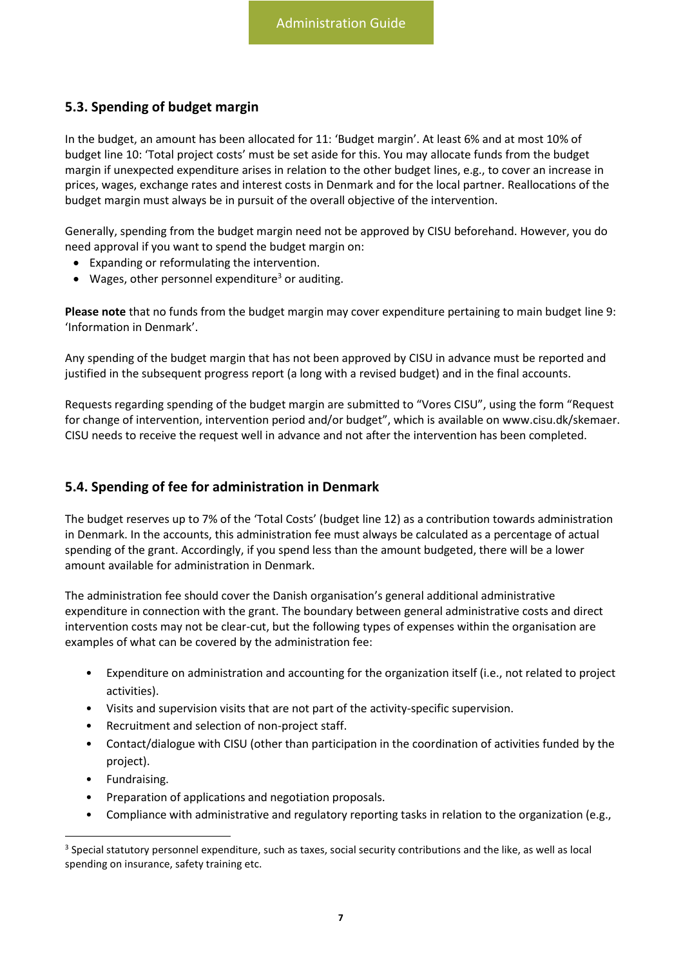## <span id="page-7-0"></span>**5.3. Spending of budget margin**

In the budget, an amount has been allocated for 11: 'Budget margin'. At least 6% and at most 10% of budget line 10: 'Total project costs' must be set aside for this. You may allocate funds from the budget margin if unexpected expenditure arises in relation to the other budget lines, e.g., to cover an increase in prices, wages, exchange rates and interest costs in Denmark and for the local partner. Reallocations of the budget margin must always be in pursuit of the overall objective of the intervention.

Generally, spending from the budget margin need not be approved by CISU beforehand. However, you do need approval if you want to spend the budget margin on:

- Expanding or reformulating the intervention.
- Wages, other personnel expenditure<sup>3</sup> or auditing.

**Please note** that no funds from the budget margin may cover expenditure pertaining to main budget line 9: 'Information in Denmark'.

Any spending of the budget margin that has not been approved by CISU in advance must be reported and justified in the subsequent progress report (a long with a revised budget) and in the final accounts.

Requests regarding spending of the budget margin are submitted to "Vores CISU", using the form "Request for change of intervention, intervention period and/or budget", which is available on [www.cisu.dk/skemaer.](http://www.cisu.dk/skemaer) CISU needs to receive the request well in advance and not after the intervention has been completed.

### <span id="page-7-1"></span>**5.4. Spending of fee for administration in Denmark**

The budget reserves up to 7% of the 'Total Costs' (budget line 12) as a contribution towards administration in Denmark. In the accounts, this administration fee must always be calculated as a percentage of actual spending of the grant. Accordingly, if you spend less than the amount budgeted, there will be a lower amount available for administration in Denmark.

The administration fee should cover the Danish organisation's general additional administrative expenditure in connection with the grant. The boundary between general administrative costs and direct intervention costs may not be clear-cut, but the following types of expenses within the organisation are examples of what can be covered by the administration fee:

- Expenditure on administration and accounting for the organization itself (i.e., not related to project activities).
- Visits and supervision visits that are not part of the activity-specific supervision.
- Recruitment and selection of non-project staff.
- Contact/dialogue with CISU (other than participation in the coordination of activities funded by the project).
- Fundraising.
- Preparation of applications and negotiation proposals.
- Compliance with administrative and regulatory reporting tasks in relation to the organization (e.g.,

 $3$  Special statutory personnel expenditure, such as taxes, social security contributions and the like, as well as local spending on insurance, safety training etc.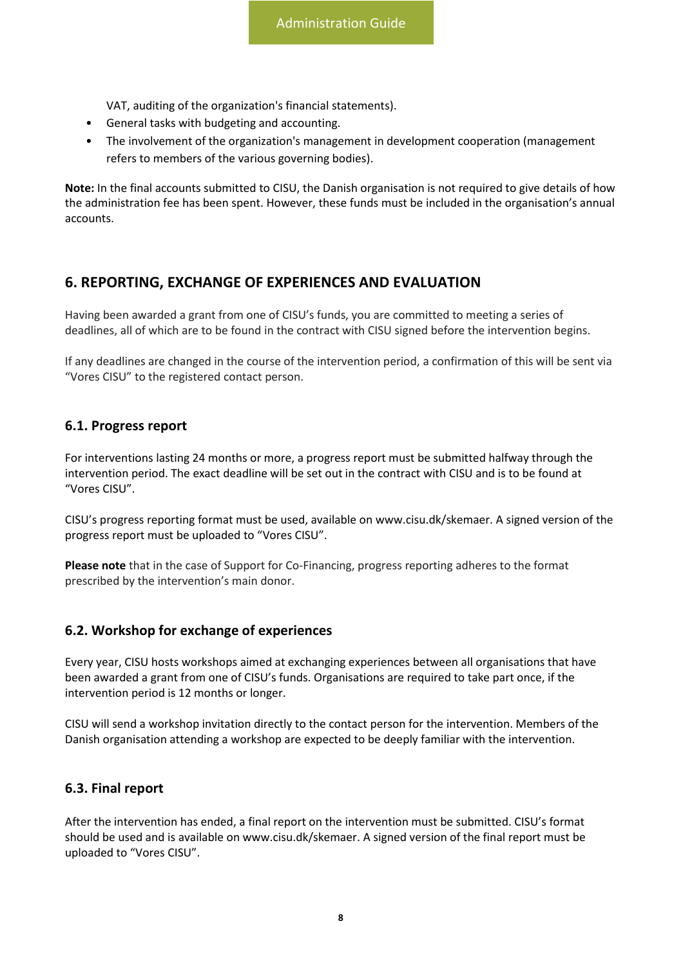VAT, auditing of the organization's financial statements).

- General tasks with budgeting and accounting.
- The involvement of the organization's management in development cooperation (management refers to members of the various governing bodies).

**Note:** In the final accounts submitted to CISU, the Danish organisation is not required to give details of how the administration fee has been spent. However, these funds must be included in the organisation's annual accounts.

## <span id="page-8-0"></span>**6. REPORTING, EXCHANGE OF EXPERIENCES AND EVALUATION**

Having been awarded a grant from one of CISU's funds, you are committed to meeting a series of deadlines, all of which are to be found in the contract with CISU signed before the intervention begins.

If any deadlines are changed in the course of the intervention period, a confirmation of this will be sent via "Vores CISU" to the registered contact person.

#### <span id="page-8-1"></span>**6.1. Progress report**

For interventions lasting 24 months or more, a progress report must be submitted halfway through the intervention period. The exact deadline will be set out in the contract with CISU and is to be found at "Vores CISU".

CISU's progress reporting format must be used, available on www.cisu.dk/skemaer. A signed version of the progress report must be uploaded to "Vores CISU".

**Please note** that in the case of Support for Co-Financing, progress reporting adheres to the format prescribed by the intervention's main donor.

#### <span id="page-8-2"></span>**6.2. Workshop for exchange of experiences**

Every year, CISU hosts workshops aimed at exchanging experiences between all organisations that have been awarded a grant from one of CISU's funds. Organisations are required to take part once, if the intervention period is 12 months or longer.

CISU will send a workshop invitation directly to the contact person for the intervention. Members of the Danish organisation attending a workshop are expected to be deeply familiar with the intervention.

#### <span id="page-8-3"></span>**6.3. Final report**

After the intervention has ended, a final report on the intervention must be submitted. CISU's format should be used and is available on www.cisu.dk/skemaer. A signed version of the final report must be uploaded to "Vores CISU".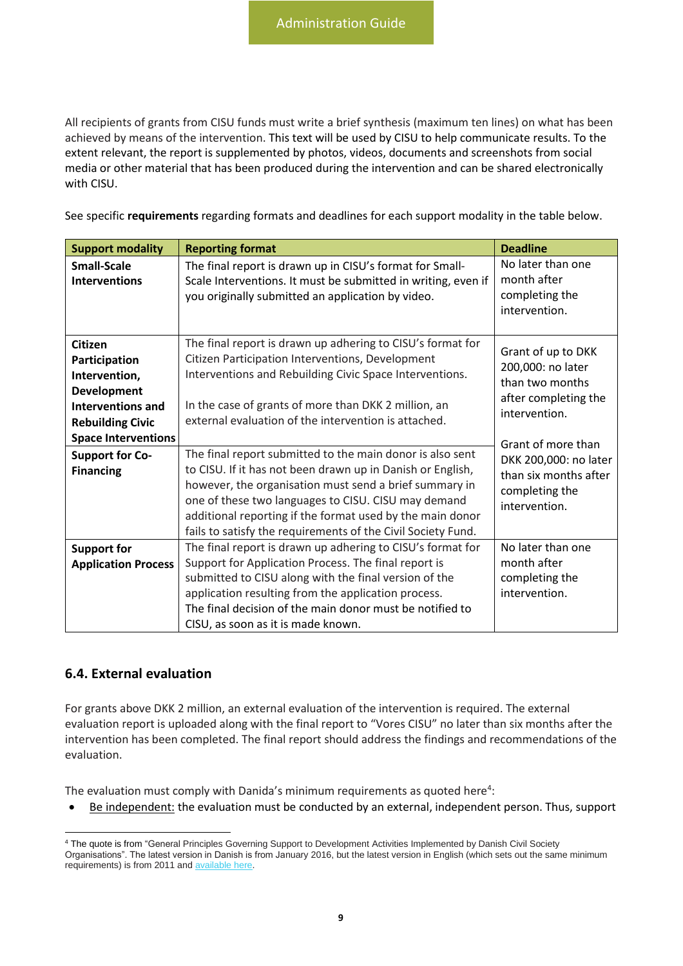All recipients of grants from CISU funds must write a brief synthesis (maximum ten lines) on what has been achieved by means of the intervention. This text will be used by CISU to help communicate results. To the extent relevant, the report is supplemented by photos, videos, documents and screenshots from social media or other material that has been produced during the intervention and can be shared electronically with CISU.

See specific **requirements** regarding formats and deadlines for each support modality in the table below.

| <b>Support modality</b>                                                                                                                                                                            | <b>Reporting format</b>                                                                                                                                                                                                                                                                                                                                                                                                                                                                                                                                                                            | <b>Deadline</b>                                                                                                                                                                                                |
|----------------------------------------------------------------------------------------------------------------------------------------------------------------------------------------------------|----------------------------------------------------------------------------------------------------------------------------------------------------------------------------------------------------------------------------------------------------------------------------------------------------------------------------------------------------------------------------------------------------------------------------------------------------------------------------------------------------------------------------------------------------------------------------------------------------|----------------------------------------------------------------------------------------------------------------------------------------------------------------------------------------------------------------|
| <b>Small-Scale</b><br><b>Interventions</b>                                                                                                                                                         | The final report is drawn up in CISU's format for Small-<br>Scale Interventions. It must be submitted in writing, even if<br>you originally submitted an application by video.                                                                                                                                                                                                                                                                                                                                                                                                                     | No later than one<br>month after<br>completing the<br>intervention.                                                                                                                                            |
| <b>Citizen</b><br>Participation<br>Intervention,<br><b>Development</b><br>Interventions and<br><b>Rebuilding Civic</b><br><b>Space Interventions</b><br><b>Support for Co-</b><br><b>Financing</b> | The final report is drawn up adhering to CISU's format for<br>Citizen Participation Interventions, Development<br>Interventions and Rebuilding Civic Space Interventions.<br>In the case of grants of more than DKK 2 million, an<br>external evaluation of the intervention is attached.<br>The final report submitted to the main donor is also sent<br>to CISU. If it has not been drawn up in Danish or English,<br>however, the organisation must send a brief summary in<br>one of these two languages to CISU. CISU may demand<br>additional reporting if the format used by the main donor | Grant of up to DKK<br>200,000: no later<br>than two months<br>after completing the<br>intervention.<br>Grant of more than<br>DKK 200,000: no later<br>than six months after<br>completing the<br>intervention. |
|                                                                                                                                                                                                    | fails to satisfy the requirements of the Civil Society Fund.                                                                                                                                                                                                                                                                                                                                                                                                                                                                                                                                       |                                                                                                                                                                                                                |
| <b>Support for</b><br><b>Application Process</b>                                                                                                                                                   | The final report is drawn up adhering to CISU's format for<br>Support for Application Process. The final report is                                                                                                                                                                                                                                                                                                                                                                                                                                                                                 | No later than one<br>month after                                                                                                                                                                               |
|                                                                                                                                                                                                    | submitted to CISU along with the final version of the<br>application resulting from the application process.<br>The final decision of the main donor must be notified to<br>CISU, as soon as it is made known.                                                                                                                                                                                                                                                                                                                                                                                     | completing the<br>intervention.                                                                                                                                                                                |

#### <span id="page-9-0"></span>**6.4. External evaluation**

For grants above DKK 2 million, an external evaluation of the intervention is required. The external evaluation report is uploaded along with the final report to "Vores CISU" no later than six months after the intervention has been completed. The final report should address the findings and recommendations of the evaluation.

The evaluation must comply with Danida's minimum requirements as quoted here<sup>4</sup>:

• Be independent: the evaluation must be conducted by an external, independent person. Thus, support

<sup>4</sup> The quote is from "General Principles Governing Support to Development Activities Implemented by Danish Civil Society Organisations". The latest version in Danish is from January 2016, but the latest version in English (which sets out the same minimum requirements) is from 2011 and [available here.](file:///C:/Users/Rasmus%20Sonderriis/Downloads/Generalprinciplessamletengelsk150211ashx.pdf)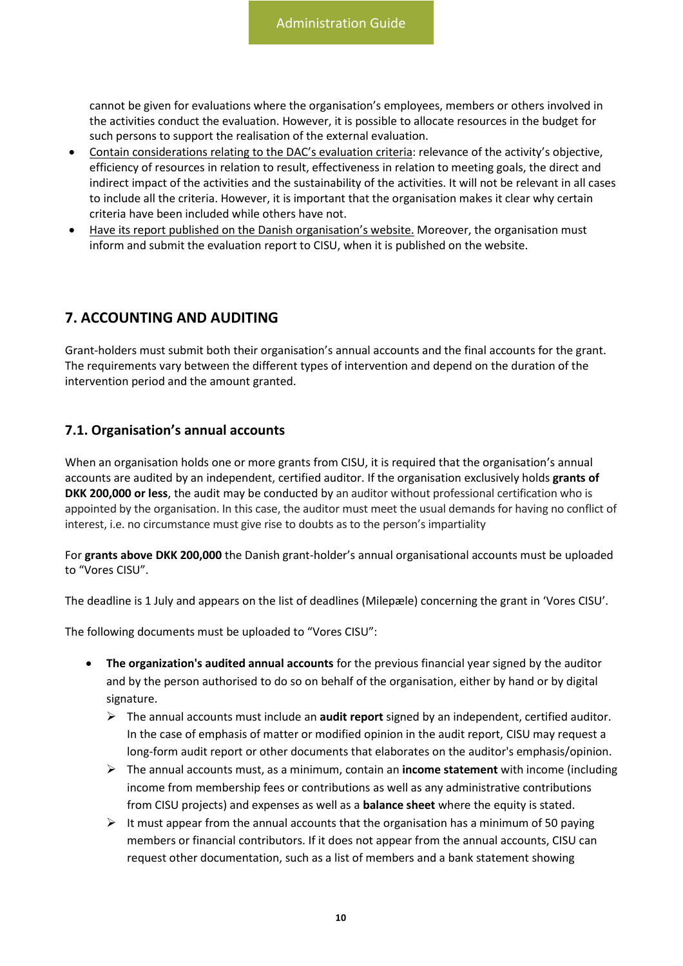cannot be given for evaluations where the organisation's employees, members or others involved in the activities conduct the evaluation. However, it is possible to allocate resources in the budget for such persons to support the realisation of the external evaluation.

- Contain considerations relating to the DAC's evaluation criteria: relevance of the activity's objective, efficiency of resources in relation to result, effectiveness in relation to meeting goals, the direct and indirect impact of the activities and the sustainability of the activities. It will not be relevant in all cases to include all the criteria. However, it is important that the organisation makes it clear why certain criteria have been included while others have not.
- Have its report published on the Danish organisation's website. Moreover, the organisation must inform and submit the evaluation report to CISU, when it is published on the website.

## <span id="page-10-0"></span>**7. ACCOUNTING AND AUDITING**

Grant-holders must submit both their organisation's annual accounts and the final accounts for the grant. The requirements vary between the different types of intervention and depend on the duration of the intervention period and the amount granted.

#### <span id="page-10-1"></span>**7.1. Organisation's annual accounts**

When an organisation holds one or more grants from CISU, it is required that the organisation's annual accounts are audited by an independent, certified auditor. If the organisation exclusively holds **grants of DKK 200,000 or less**, the audit may be conducted by an auditor without professional certification who is appointed by the organisation. In this case, the auditor must meet the usual demands for having no conflict of interest, i.e. no circumstance must give rise to doubts as to the person's impartiality

For **grants above DKK 200,000** the Danish grant-holder's annual organisational accounts must be uploaded to "Vores CISU".

The deadline is 1 July and appears on the list of deadlines (Milepæle) concerning the grant in 'Vores CISU'.

The following documents must be uploaded to "Vores CISU":

- **The organization's audited annual accounts** for the previous financial year signed by the auditor and by the person authorised to do so on behalf of the organisation, either by hand or by digital signature.
	- ➢ The annual accounts must include an **audit report** signed by an independent, certified auditor. In the case of emphasis of matter or modified opinion in the audit report, CISU may request a long-form audit report or other documents that elaborates on the auditor's emphasis/opinion.
	- ➢ The annual accounts must, as a minimum, contain an **income statement** with income (including income from membership fees or contributions as well as any administrative contributions from CISU projects) and expenses as well as a **balance sheet** where the equity is stated.
	- $\triangleright$  It must appear from the annual accounts that the organisation has a minimum of 50 paying members or financial contributors. If it does not appear from the annual accounts, CISU can request other documentation, such as a list of members and a bank statement showing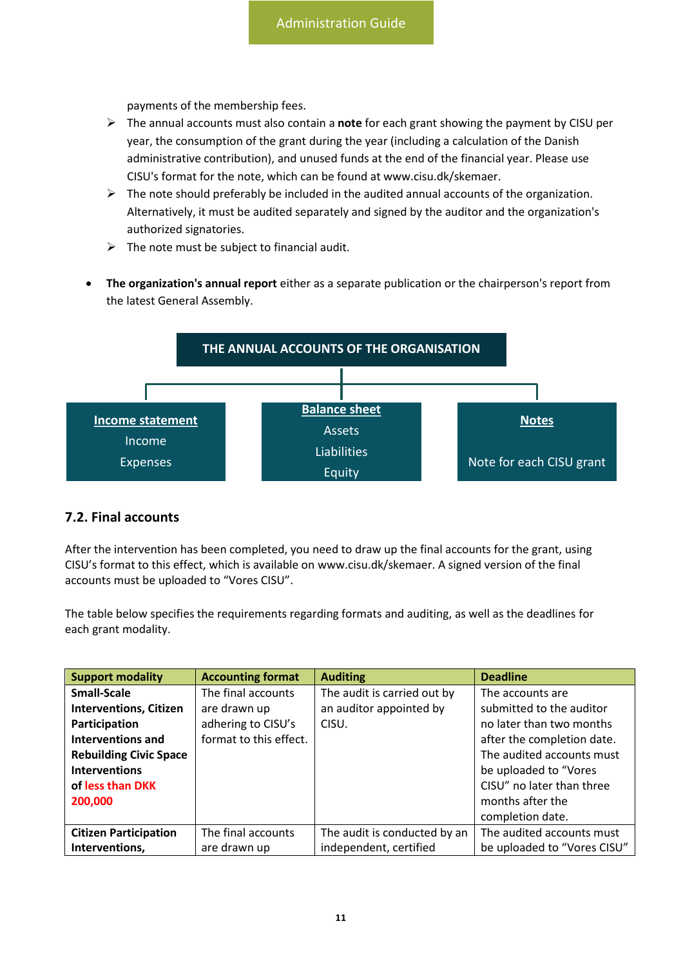payments of the membership fees.

- ➢ The annual accounts must also contain a **note** for each grant showing the payment by CISU per year, the consumption of the grant during the year (including a calculation of the Danish administrative contribution), and unused funds at the end of the financial year. Please use CISU's format for the note, which can be found at www.cisu.dk/skemaer.
- $\triangleright$  The note should preferably be included in the audited annual accounts of the organization. Alternatively, it must be audited separately and signed by the auditor and the organization's authorized signatories.
- $\triangleright$  The note must be subject to financial audit.
- **The organization's annual report** either as a separate publication or the chairperson's report from the latest General Assembly.



#### <span id="page-11-0"></span>**7.2. Final accounts**

After the intervention has been completed, you need to draw up the final accounts for the grant, using CISU's format to this effect, which is available on www.cisu.dk/skemaer. A signed version of the final accounts must be uploaded to "Vores CISU".

The table below specifies the requirements regarding formats and auditing, as well as the deadlines for each grant modality.

| <b>Support modality</b>       | <b>Accounting format</b> | <b>Auditing</b>              | <b>Deadline</b>             |
|-------------------------------|--------------------------|------------------------------|-----------------------------|
| <b>Small-Scale</b>            | The final accounts       | The audit is carried out by  | The accounts are            |
| <b>Interventions, Citizen</b> | are drawn up             | an auditor appointed by      | submitted to the auditor    |
| Participation                 | adhering to CISU's       | CISU.                        | no later than two months    |
| <b>Interventions and</b>      | format to this effect.   |                              | after the completion date.  |
| <b>Rebuilding Civic Space</b> |                          |                              | The audited accounts must   |
| <b>Interventions</b>          |                          |                              | be uploaded to "Vores       |
| of less than DKK              |                          |                              | CISU" no later than three   |
| 200,000                       |                          |                              | months after the            |
|                               |                          |                              | completion date.            |
| <b>Citizen Participation</b>  | The final accounts       | The audit is conducted by an | The audited accounts must   |
| Interventions,                | are drawn up             | independent, certified       | be uploaded to "Vores CISU" |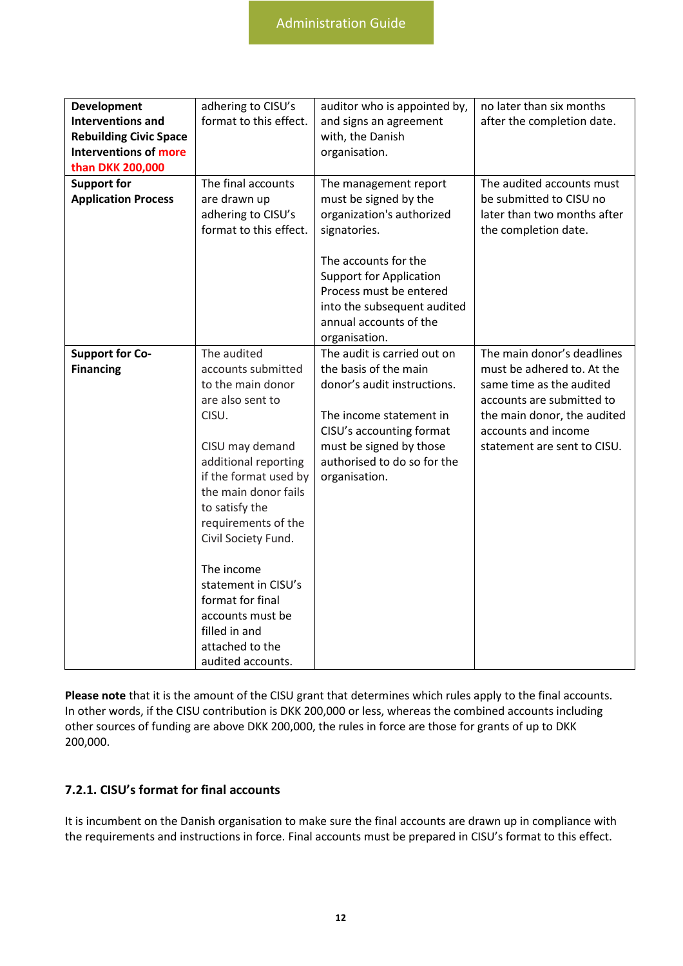| <b>Development</b><br><b>Interventions and</b><br><b>Rebuilding Civic Space</b><br><b>Interventions of more</b><br>than DKK 200,000 | adhering to CISU's<br>format to this effect.                                                                                                                                                                                                                                                                                                                                          | auditor who is appointed by,<br>and signs an agreement<br>with, the Danish<br>organisation.                                                                                                                                                                | no later than six months<br>after the completion date.                                                                                                                                                 |
|-------------------------------------------------------------------------------------------------------------------------------------|---------------------------------------------------------------------------------------------------------------------------------------------------------------------------------------------------------------------------------------------------------------------------------------------------------------------------------------------------------------------------------------|------------------------------------------------------------------------------------------------------------------------------------------------------------------------------------------------------------------------------------------------------------|--------------------------------------------------------------------------------------------------------------------------------------------------------------------------------------------------------|
| <b>Support for</b><br><b>Application Process</b>                                                                                    | The final accounts<br>are drawn up<br>adhering to CISU's<br>format to this effect.                                                                                                                                                                                                                                                                                                    | The management report<br>must be signed by the<br>organization's authorized<br>signatories.<br>The accounts for the<br><b>Support for Application</b><br>Process must be entered<br>into the subsequent audited<br>annual accounts of the<br>organisation. | The audited accounts must<br>be submitted to CISU no<br>later than two months after<br>the completion date.                                                                                            |
| <b>Support for Co-</b><br><b>Financing</b>                                                                                          | The audited<br>accounts submitted<br>to the main donor<br>are also sent to<br>CISU.<br>CISU may demand<br>additional reporting<br>if the format used by<br>the main donor fails<br>to satisfy the<br>requirements of the<br>Civil Society Fund.<br>The income<br>statement in CISU's<br>format for final<br>accounts must be<br>filled in and<br>attached to the<br>audited accounts. | The audit is carried out on<br>the basis of the main<br>donor's audit instructions.<br>The income statement in<br>CISU's accounting format<br>must be signed by those<br>authorised to do so for the<br>organisation.                                      | The main donor's deadlines<br>must be adhered to. At the<br>same time as the audited<br>accounts are submitted to<br>the main donor, the audited<br>accounts and income<br>statement are sent to CISU. |

**Please note** that it is the amount of the CISU grant that determines which rules apply to the final accounts. In other words, if the CISU contribution is DKK 200,000 or less, whereas the combined accounts including other sources of funding are above DKK 200,000, the rules in force are those for grants of up to DKK 200,000.

#### <span id="page-12-0"></span>**7.2.1. CISU's format for final accounts**

It is incumbent on the Danish organisation to make sure the final accounts are drawn up in compliance with the requirements and instructions in force. Final accounts must be prepared in CISU's format to this effect.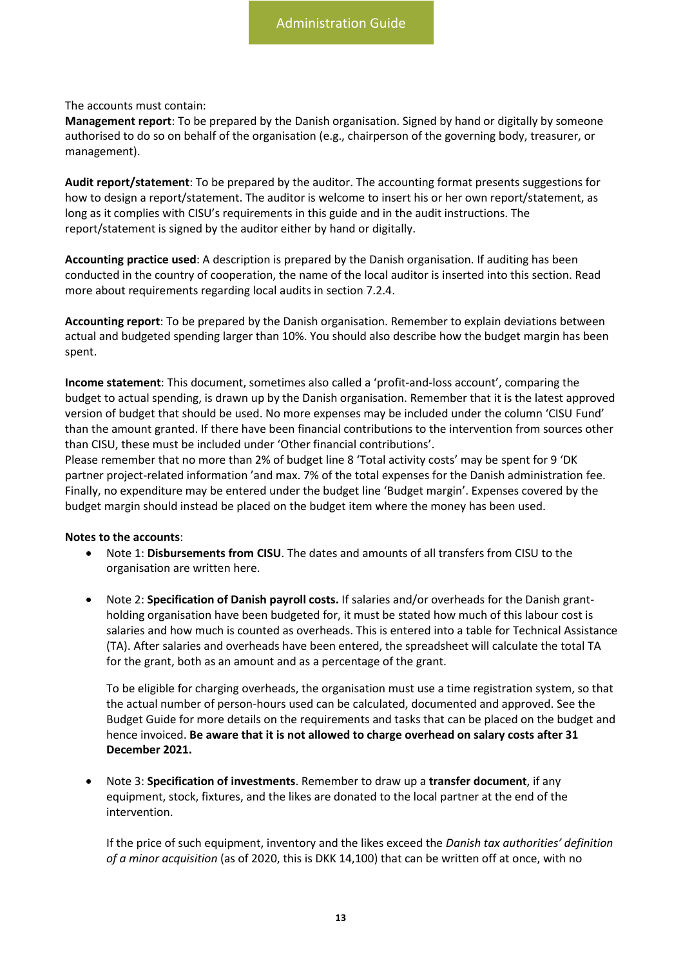The accounts must contain:

**Management report**: To be prepared by the Danish organisation. Signed by hand or digitally by someone authorised to do so on behalf of the organisation (e.g., chairperson of the governing body, treasurer, or management).

**Audit report/statement**: To be prepared by the auditor. The accounting format presents suggestions for how to design a report/statement. The auditor is welcome to insert his or her own report/statement, as long as it complies with CISU's requirements in this guide and in the audit instructions. The report/statement is signed by the auditor either by hand or digitally.

**Accounting practice used**: A description is prepared by the Danish organisation. If auditing has been conducted in the country of cooperation, the name of the local auditor is inserted into this section. Read more about requirements regarding local audits in section 7.2.4.

**Accounting report**: To be prepared by the Danish organisation. Remember to explain deviations between actual and budgeted spending larger than 10%. You should also describe how the budget margin has been spent.

**Income statement**: This document, sometimes also called a 'profit-and-loss account', comparing the budget to actual spending, is drawn up by the Danish organisation. Remember that it is the latest approved version of budget that should be used. No more expenses may be included under the column 'CISU Fund' than the amount granted. If there have been financial contributions to the intervention from sources other than CISU, these must be included under 'Other financial contributions'.

Please remember that no more than 2% of budget line 8 'Total activity costs' may be spent for 9 'DK partner project-related information 'and max. 7% of the total expenses for the Danish administration fee. Finally, no expenditure may be entered under the budget line 'Budget margin'. Expenses covered by the budget margin should instead be placed on the budget item where the money has been used.

#### **Notes to the accounts**:

- Note 1: **Disbursements from CISU**. The dates and amounts of all transfers from CISU to the organisation are written here.
- Note 2: **Specification of Danish payroll costs.** If salaries and/or overheads for the Danish grantholding organisation have been budgeted for, it must be stated how much of this labour cost is salaries and how much is counted as overheads. This is entered into a table for Technical Assistance (TA). After salaries and overheads have been entered, the spreadsheet will calculate the total TA for the grant, both as an amount and as a percentage of the grant.

To be eligible for charging overheads, the organisation must use a time registration system, so that the actual number of person-hours used can be calculated, documented and approved. See the Budget Guide for more details on the requirements and tasks that can be placed on the budget and hence invoiced. **Be aware that it is not allowed to charge overhead on salary costs after 31 December 2021.** 

• Note 3: **Specification of investments**. Remember to draw up a **transfer document**, if any equipment, stock, fixtures, and the likes are donated to the local partner at the end of the intervention.

If the price of such equipment, inventory and the likes exceed the *Danish tax authorities' definition of a minor acquisition* (as of 2020, this is DKK 14,100) that can be written off at once, with no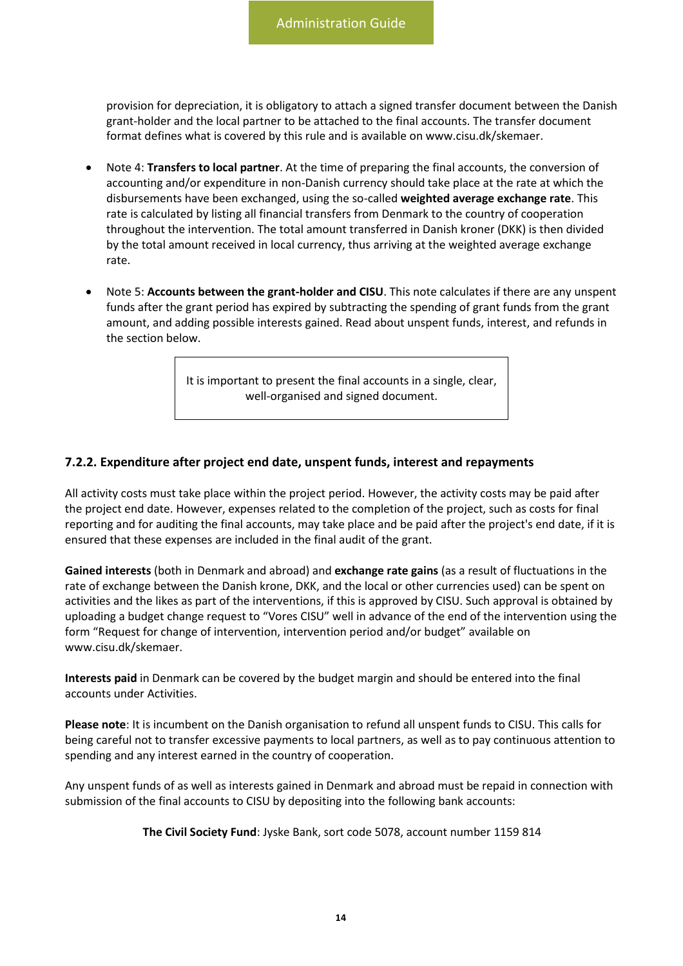provision for depreciation, it is obligatory to attach a signed transfer document between the Danish grant-holder and the local partner to be attached to the final accounts. The transfer document format defines what is covered by this rule and is available on [www.cisu.dk/skemaer.](http://www.cisu.dk/skemaer)

- Note 4: **Transfers to local partner**. At the time of preparing the final accounts, the conversion of accounting and/or expenditure in non-Danish currency should take place at the rate at which the disbursements have been exchanged, using the so-called **weighted average exchange rate**. This rate is calculated by listing all financial transfers from Denmark to the country of cooperation throughout the intervention. The total amount transferred in Danish kroner (DKK) is then divided by the total amount received in local currency, thus arriving at the weighted average exchange rate.
- Note 5: **Accounts between the grant-holder and CISU**. This note calculates if there are any unspent funds after the grant period has expired by subtracting the spending of grant funds from the grant amount, and adding possible interests gained. Read about unspent funds, interest, and refunds in the section below.

It is important to present the final accounts in a single, clear, well-organised and signed document.

#### **7.2.2. Expenditure after project end date, unspent funds, interest and repayments**

All activity costs must take place within the project period. However, the activity costs may be paid after the project end date. However, expenses related to the completion of the project, such as costs for final reporting and for auditing the final accounts, may take place and be paid after the project's end date, if it is ensured that these expenses are included in the final audit of the grant.

**Gained interests** (both in Denmark and abroad) and **exchange rate gains** (as a result of fluctuations in the rate of exchange between the Danish krone, DKK, and the local or other currencies used) can be spent on activities and the likes as part of the interventions, if this is approved by CISU. Such approval is obtained by uploading a budget change request to "Vores CISU" well in advance of the end of the intervention using the form "Request for change of intervention, intervention period and/or budget" available on www.cisu.dk/skemaer.

**Interests paid** in Denmark can be covered by the budget margin and should be entered into the final accounts under Activities.

**Please note**: It is incumbent on the Danish organisation to refund all unspent funds to CISU. This calls for being careful not to transfer excessive payments to local partners, as well as to pay continuous attention to spending and any interest earned in the country of cooperation.

Any unspent funds of as well as interests gained in Denmark and abroad must be repaid in connection with submission of the final accounts to CISU by depositing into the following bank accounts:

**The Civil Society Fund**: Jyske Bank, sort code 5078, account number 1159 814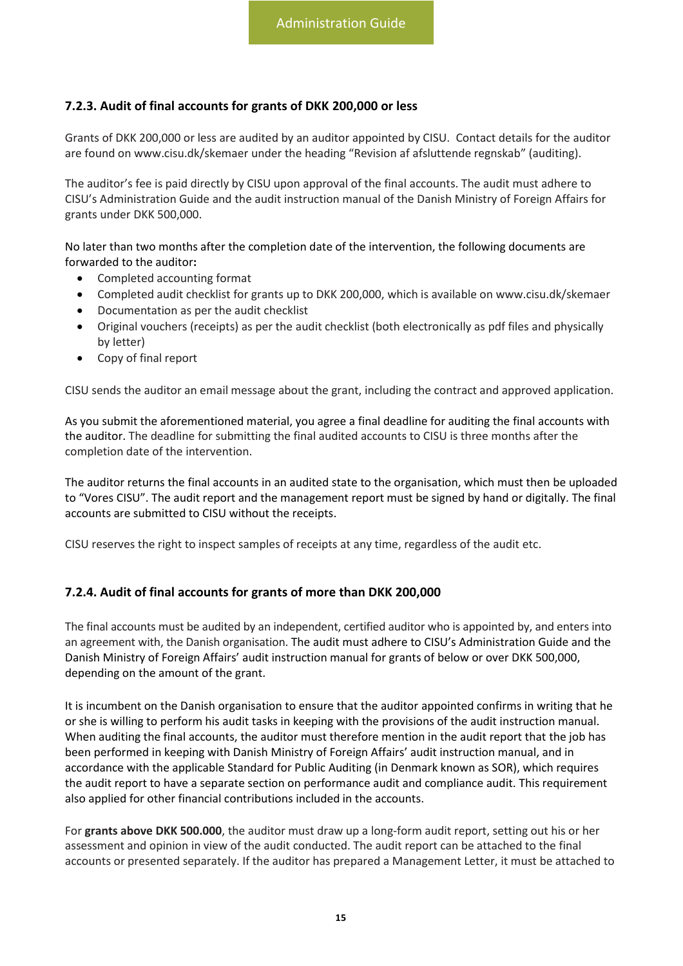#### <span id="page-15-0"></span>**7.2.3. Audit of final accounts for grants of DKK 200,000 or less**

Grants of DKK 200,000 or less are audited by an auditor appointed by CISU. Contact details for the auditor are found on www.cisu.dk/skemaer under the heading "Revision af afsluttende regnskab" (auditing).

The auditor's fee is paid directly by CISU upon approval of the final accounts. The audit must adhere to CISU's Administration Guide and the audit instruction manual of the Danish Ministry of Foreign Affairs for grants under DKK 500,000.

No later than two months after the completion date of the intervention, the following documents are forwarded to the auditor**:** 

- Completed accounting format
- Completed audit checklist for grants up to DKK 200,000, which is available on www.cisu.dk/skemaer
- Documentation as per the audit checklist
- Original vouchers (receipts) as per the audit checklist (both electronically as pdf files and physically by letter)
- Copy of final report

CISU sends the auditor an email message about the grant, including the contract and approved application.

As you submit the aforementioned material, you agree a final deadline for auditing the final accounts with the auditor. The deadline for submitting the final audited accounts to CISU is three months after the completion date of the intervention.

The auditor returns the final accounts in an audited state to the organisation, which must then be uploaded to "Vores CISU". The audit report and the management report must be signed by hand or digitally. The final accounts are submitted to CISU without the receipts.

CISU reserves the right to inspect samples of receipts at any time, regardless of the audit etc.

#### <span id="page-15-1"></span>**7.2.4. Audit of final accounts for grants of more than DKK 200,000**

The final accounts must be audited by an independent, certified auditor who is appointed by, and enters into an agreement with, the Danish organisation. The audit must adhere to CISU's Administration Guide and the Danish Ministry of Foreign Affairs' audit instruction manual for grants of below or over DKK 500,000, depending on the amount of the grant.

It is incumbent on the Danish organisation to ensure that the auditor appointed confirms in writing that he or she is willing to perform his audit tasks in keeping with the provisions of the audit instruction manual. When auditing the final accounts, the auditor must therefore mention in the audit report that the job has been performed in keeping with Danish Ministry of Foreign Affairs' audit instruction manual, and in accordance with the applicable Standard for Public Auditing (in Denmark known as SOR), which requires the audit report to have a separate section on performance audit and compliance audit. This requirement also applied for other financial contributions included in the accounts.

For **grants above DKK 500.000**, the auditor must draw up a long-form audit report, setting out his or her assessment and opinion in view of the audit conducted. The audit report can be attached to the final accounts or presented separately. If the auditor has prepared a Management Letter, it must be attached to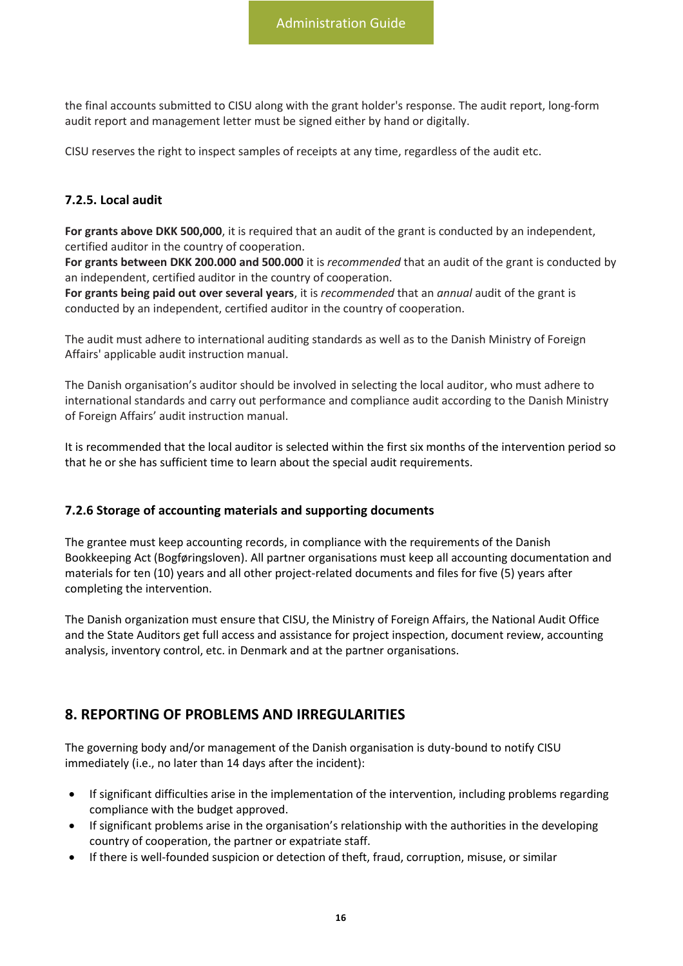the final accounts submitted to CISU along with the grant holder's response. The audit report, long-form audit report and management letter must be signed either by hand or digitally.

CISU reserves the right to inspect samples of receipts at any time, regardless of the audit etc.

#### <span id="page-16-0"></span>**7.2.5. Local audit**

**For grants above DKK 500,000**, it is required that an audit of the grant is conducted by an independent, certified auditor in the country of cooperation.

**For grants between DKK 200.000 and 500.000** it is *recommended* that an audit of the grant is conducted by an independent, certified auditor in the country of cooperation.

**For grants being paid out over several years**, it is *recommended* that an *annual* audit of the grant is conducted by an independent, certified auditor in the country of cooperation.

The audit must adhere to international auditing standards as well as to the Danish Ministry of Foreign Affairs' applicable audit instruction manual.

The Danish organisation's auditor should be involved in selecting the local auditor, who must adhere to international standards and carry out performance and compliance audit according to the Danish Ministry of Foreign Affairs' audit instruction manual.

It is recommended that the local auditor is selected within the first six months of the intervention period so that he or she has sufficient time to learn about the special audit requirements.

#### <span id="page-16-1"></span>**7.2.6 Storage of accounting materials and supporting documents**

The grantee must keep accounting records, in compliance with the requirements of the Danish Bookkeeping Act (Bogføringsloven). All partner organisations must keep all accounting documentation and materials for ten (10) years and all other project-related documents and files for five (5) years after completing the intervention.

The Danish organization must ensure that CISU, the Ministry of Foreign Affairs, the National Audit Office and the State Auditors get full access and assistance for project inspection, document review, accounting analysis, inventory control, etc. in Denmark and at the partner organisations.

## <span id="page-16-2"></span>**8. REPORTING OF PROBLEMS AND IRREGULARITIES**

The governing body and/or management of the Danish organisation is duty-bound to notify CISU immediately (i.e., no later than 14 days after the incident):

- If significant difficulties arise in the implementation of the intervention, including problems regarding compliance with the budget approved.
- If significant problems arise in the organisation's relationship with the authorities in the developing country of cooperation, the partner or expatriate staff.
- If there is well-founded suspicion or detection of theft, fraud, corruption, misuse, or similar